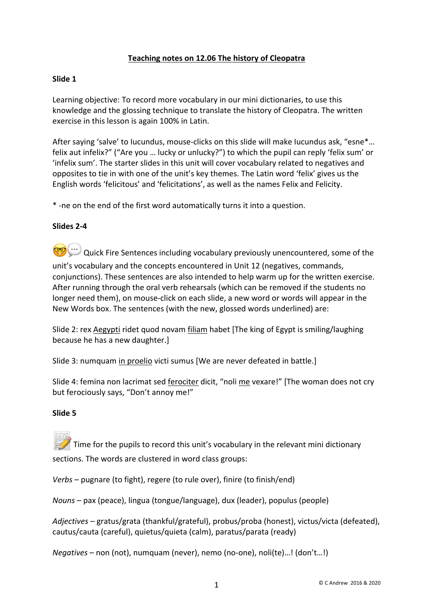## **Teaching notes on 12.06 The history of Cleopatra**

### **Slide 1**

Learning objective: To record more vocabulary in our mini dictionaries, to use this knowledge and the glossing technique to translate the history of Cleopatra. The written exercise in this lesson is again 100% in Latin.

After saying 'salve' to Iucundus, mouse-clicks on this slide will make Iucundus ask, "esne\*… felix aut infelix?" ("Are you … lucky or unlucky?") to which the pupil can reply 'felix sum' or 'infelix sum'. The starter slides in this unit will cover vocabulary related to negatives and opposites to tie in with one of the unit's key themes. The Latin word 'felix' gives us the English words 'felicitous' and 'felicitations', as well as the names Felix and Felicity.

\* -ne on the end of the first word automatically turns it into a question.

#### **Slides 2-4**

 $\gg$  Quick Fire Sentences including vocabulary previously unencountered, some of the unit's vocabulary and the concepts encountered in Unit 12 (negatives, commands, conjunctions). These sentences are also intended to help warm up for the written exercise. After running through the oral verb rehearsals (which can be removed if the students no longer need them), on mouse-click on each slide, a new word or words will appear in the New Words box. The sentences (with the new, glossed words underlined) are:

Slide 2: rex Aegypti ridet quod novam filiam habet [The king of Egypt is smiling/laughing because he has a new daughter.]

Slide 3: numquam in proelio victi sumus [We are never defeated in battle.]

Slide 4: femina non lacrimat sed ferociter dicit, "noli me vexare!" [The woman does not cry but ferociously says, "Don't annoy me!"

#### **Slide 5**

Time for the pupils to record this unit's vocabulary in the relevant mini dictionary sections. The words are clustered in word class groups:

*Verbs* – pugnare (to fight), regere (to rule over), finire (to finish/end)

*Nouns* – pax (peace), lingua (tongue/language), dux (leader), populus (people)

*Adjectives* – gratus/grata (thankful/grateful), probus/proba (honest), victus/victa (defeated), cautus/cauta (careful), quietus/quieta (calm), paratus/parata (ready)

*Negatives* – non (not), numquam (never), nemo (no-one), noli(te)…! (don't…!)